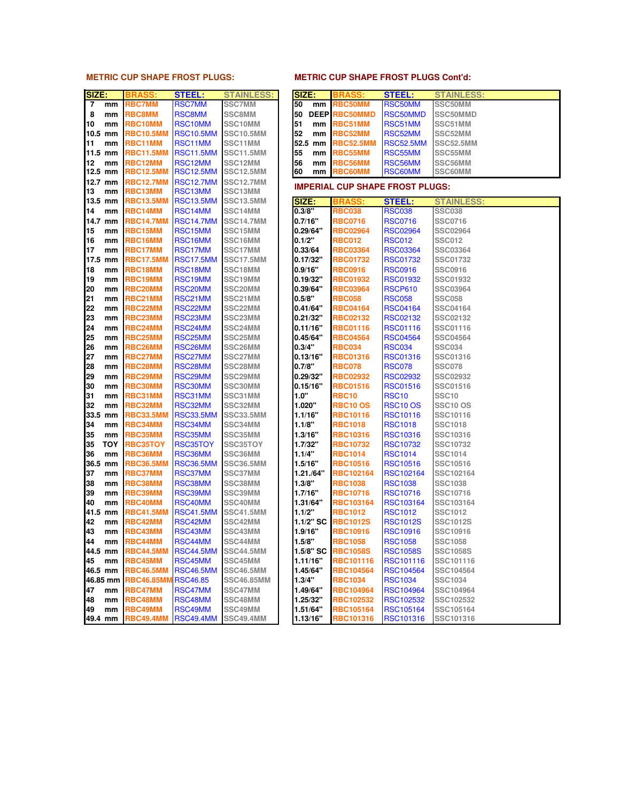### **METRIC CUP SHAPE FROST PLUGS: METRIC CUP SHAPE FROST PLUGS Cont'd:**

| SIZE:          |            | <b>BRASS:</b>     | <b>STEEL:</b>        | <b>STAINLESS:</b>    |             | SIZE:       | <b>BRASS:</b>                          | <b>STEEL:</b>    | <b>STAINLESS:</b> |
|----------------|------------|-------------------|----------------------|----------------------|-------------|-------------|----------------------------------------|------------------|-------------------|
| $\overline{7}$ | mm         | <b>RBC7MM</b>     | <b>RSC7MM</b>        | <b>SSC7MM</b>        | 50          | mm          | <b>RBC50MM</b>                         | RSC50MM          | SSC50MM           |
| 8              | mm         | RBC8MM            | <b>RSC8MM</b>        | <b>SSC8MM</b>        | 50          | <b>DEEP</b> | <b>RBC50MMD</b>                        | RSC50MMD         | SSC50MMD          |
| 10             | mm         | <b>RBC10MM</b>    | RSC10MM              | SSC10MM              | 51          | mm          | RBC51MM                                | RSC51MM          | SSC51MM           |
|                | 10.5 mm    | <b>RBC10.5MM</b>  | <b>RSC10.5MM</b>     | <b>SSC10.5MM</b>     | 52          | mm          | RBC52MM                                | RSC52MM          | SSC52MM           |
| 11             | mm         | RBC11MM           | RSC11MM              | SSC11MM              | 52.5        | mm          | <b>RBC52.5MM</b>                       | <b>RSC52.5MM</b> | <b>SSC52.5MM</b>  |
|                | 11.5 mm    | <b>RBC11.5MM</b>  | <b>RSC11.5MM</b>     | <b>SSC11.5MM</b>     | 55          | mm          | RBC55MM                                | RSC55MM          | SSC55MM           |
| 12             | mm         | RBC12MM           | RSC12MM              | SSC12MM              | 56          | mm          | RBC56MM                                | RSC56MM          | SSC56MM           |
| 12.5 mm        |            | <b>RBC12.5MM</b>  | <b>RSC12.5MM</b>     | <b>SSC12.5MM</b>     | 60          | mm          | <b>RBC60MM</b>                         | <b>RSC60MM</b>   | SSC60MM           |
|                | 12.7 mm    | <b>RBC12.7MM</b>  | <b>RSC12.7MM</b>     | <b>SSC12.7MM</b>     |             |             |                                        |                  |                   |
| 13             | mm         | RBC13MM           | RSC13MM              | SSC13MM              |             |             | <b>IMPERIAL CUP SHAPE FROST PLUGS:</b> |                  |                   |
|                | 13.5 mm    | <b>RBC13.5MM</b>  | <b>RSC13.5MM</b>     | <b>SSC13.5MM</b>     |             | SIZE:       | <b>BRASS</b>                           | <b>STEEL:</b>    | <b>STAINLESS:</b> |
| 14             | mm         | RBC14MM           | RSC14MM              | SSC14MM              |             | 0.3/8"      | <b>RBC038</b>                          | <b>RSC038</b>    | <b>SSC038</b>     |
|                | 14.7 mm    | <b>RBC14.7MM</b>  | <b>RSC14.7MM</b>     | <b>SSC14.7MM</b>     |             | 0.7/16"     | <b>RBC0716</b>                         | <b>RSC0716</b>   | <b>SSC0716</b>    |
| 15             | mm         | RBC15MM           | RSC15MM              | SSC15MM              |             | 0.29/64"    | <b>RBC02964</b>                        | <b>RSC02964</b>  | <b>SSC02964</b>   |
| 16             | mm         | RBC16MM           | RSC16MM              | SSC16MM              |             | 0.1/2"      | <b>RBC012</b>                          | <b>RSC012</b>    | <b>SSC012</b>     |
| 17             | mm         | RBC17MM           | RSC17MM              | SSC17MM              |             | 0.33/64     | <b>RBC03364</b>                        | <b>RSC03364</b>  | SSC03364          |
|                | 17.5 mm    | RBC17.5MM         | <b>RSC17.5MM</b>     | <b>SSC17.5MM</b>     |             | 0.17/32"    | <b>RBC01732</b>                        | <b>RSC01732</b>  | SSC01732          |
| 18             | mm         | RBC18MM           | RSC18MM              | SSC18MM              |             | 0.9/16"     | <b>RBC0916</b>                         | <b>RSC0916</b>   | <b>SSC0916</b>    |
| 19             | mm         | RBC19MM           | RSC19MM              | SSC19MM              |             | 0.19/32"    | <b>RBC01932</b>                        | <b>RSC01932</b>  | <b>SSC01932</b>   |
| 20             | mm         | RBC20MM           | RSC20MM              | SSC <sub>20</sub> MM |             | 0.39/64"    | <b>RBC03964</b>                        | <b>RSCP610</b>   | SSC03964          |
| 21             | mm         | RBC21MM           | RSC21MM              | SSC21MM              |             | 0.5/8"      | <b>RBC058</b>                          | <b>RSC058</b>    | <b>SSC058</b>     |
| 22             | mm         | RBC22MM           | RSC22MM              | SSC22MM              |             | 0.41/64"    | <b>RBC04164</b>                        | <b>RSC04164</b>  | SSC04164          |
| 23             | mm         | RBC23MM           | RSC23MM              | SSC23MM              |             | 0.21/32"    | <b>RBC02132</b>                        | <b>RSC02132</b>  | SSC02132          |
| 24             | mm         | RBC24MM           | RSC24MM              | SSC24MM              |             | 0.11/16"    | <b>RBC01116</b>                        | <b>RSC01116</b>  | SSC01116          |
| 25             | mm         | RBC25MM           | RSC <sub>25</sub> MM | SSC25MM              |             | 0.45/64"    | <b>RBC04564</b>                        | <b>RSC04564</b>  | <b>SSC04564</b>   |
| 26             | mm         | RBC26MM           | RSC <sub>26</sub> MM | SSC26MM              |             | 0.3/4"      | <b>RBC034</b>                          | <b>RSC034</b>    | <b>SSC034</b>     |
| 27             | mm         | RBC27MM           | RSC27MM              | SSC27MM              |             | 0.13/16"    | <b>RBC01316</b>                        | <b>RSC01316</b>  | SSC01316          |
| 28             | mm         | RBC28MM           | RSC <sub>28</sub> MM | SSC28MM              |             | 0.7/8"      | <b>RBC078</b>                          | <b>RSC078</b>    | <b>SSC078</b>     |
| 29             | mm         | RBC29MM           | RSC29MM              | SSC29MM              |             | 0.29/32"    | <b>RBC02932</b>                        | <b>RSC02932</b>  | <b>SSC02932</b>   |
| 30             | mm         | RBC30MM           | RSC30MM              | SSC30MM              |             | 0.15/16"    | <b>RBC01516</b>                        | <b>RSC01516</b>  | SSC01516          |
| 31             | mm         | RBC31MM           | RSC31MM              | SSC31MM              | <b>1.0"</b> |             | <b>RBC10</b>                           | <b>RSC10</b>     | <b>SSC10</b>      |
| 32             | mm         | RBC32MM           | RSC32MM              | SSC32MM              |             | 1.020"      | <b>RBC10 OS</b>                        | <b>RSC10 OS</b>  | <b>SSC10 OS</b>   |
|                | 33.5 mm    | <b>RBC33.5MM</b>  | <b>RSC33.5MM</b>     | <b>SSC33.5MM</b>     |             | 1.1/16"     | <b>RBC10116</b>                        | <b>RSC10116</b>  | SSC10116          |
| 34             | mm         | RBC34MM           | RSC34MM              | SSC34MM              |             | 1.1/8"      | <b>RBC1018</b>                         | <b>RSC1018</b>   | <b>SSC1018</b>    |
| 35             | mm         | RBC35MM           | RSC35MM              | SSC35MM              |             | 1.3/16"     | <b>RBC10316</b>                        | <b>RSC10316</b>  | SSC10316          |
| 35             | <b>TOY</b> | <b>RBC35TOY</b>   | <b>RSC35TOY</b>      | SSC35TOY             |             | 1.7/32"     | <b>RBC10732</b>                        | <b>RSC10732</b>  | SSC10732          |
| 36             | mm         | RBC36MM           | RSC36MM              | SSC36MM              |             | 1.1/4"      | <b>RBC1014</b>                         | <b>RSC1014</b>   | <b>SSC1014</b>    |
|                | 36.5 mm    | <b>RBC36.5MM</b>  | <b>RSC36.5MM</b>     | <b>SSC36.5MM</b>     |             | 1.5/16"     | <b>RBC10516</b>                        | <b>RSC10516</b>  | SSC10516          |
| 37             | mm         | RBC37MM           | RSC37MM              | SSC37MM              |             | 1.21./64"   | <b>RBC102164</b>                       | <b>RSC102164</b> | SSC102164         |
| 38             | mm         | RBC38MM           | RSC38MM              | SSC38MM              |             | 1.3/8"      | <b>RBC1038</b>                         | <b>RSC1038</b>   | <b>SSC1038</b>    |
| 39             | mm         | RBC39MM           | RSC39MM              | SSC39MM              |             | 1.7/16"     | <b>RBC10716</b>                        | <b>RSC10716</b>  | SSC10716          |
| 40             | mm         | <b>RBC40MM</b>    | RSC40MM              | SSC40MM              |             | 1.31/64"    | <b>RBC103164</b>                       | RSC103164        | SSC103164         |
| 41.5 mm        |            | <b>RBC41.5MM</b>  | <b>RSC41.5MM</b>     | <b>SSC41.5MM</b>     |             | 1.1/2"      | <b>RBC1012</b>                         | <b>RSC1012</b>   | <b>SSC1012</b>    |
| 42             | mm         | RBC42MM           | RSC42MM              | SSC42MM              |             | 1.1/2" SC   | <b>RBC1012S</b>                        | <b>RSC1012S</b>  | <b>SSC1012S</b>   |
| 43             | mm         | RBC43MM           | RSC43MM              | SSC43MM              |             | 1.9/16"     | <b>RBC10916</b>                        | <b>RSC10916</b>  | SSC10916          |
| 44             | mm         | <b>RBC44MM</b>    | RSC44MM              | SSC44MM              |             | 1.5/8"      | <b>RBC1058</b>                         | <b>RSC1058</b>   | <b>SSC1058</b>    |
| 44.5 mm        |            | <b>RBC44.5MM</b>  | <b>RSC44.5MM</b>     | <b>SSC44.5MM</b>     |             | 1.5/8" SC   | <b>RBC1058S</b>                        | <b>RSC1058S</b>  | <b>SSC1058S</b>   |
| 45             | mm         | RBC45MM           | RSC45MM              | SSC45MM              |             | 1.11/16"    | <b>RBC101116</b>                       | RSC101116        | SSC101116         |
| 46.5 mm        |            | <b>RBC46.5MM</b>  | <b>RSC46.5MM</b>     | <b>SSC46.5MM</b>     |             | 1.45/64"    | <b>RBC104564</b>                       | RSC104564        | SSC104564         |
|                | 46.85 mm   | <b>RBC46.85MM</b> | <b>RSC46.85</b>      | <b>SSC46.85MM</b>    |             | 1.3/4"      | <b>RBC1034</b>                         | <b>RSC1034</b>   | SSC1034           |
| 47             | mm         | <b>RBC47MM</b>    | RSC47MM              | SSC47MM              |             | 1.49/64"    | <b>RBC104964</b>                       | <b>RSC104964</b> | SSC104964         |
| 48             | mm         | RBC48MM           | RSC48MM              | SSC48MM              |             | 1.25/32"    | <b>RBC102532</b>                       | RSC102532        | SSC102532         |
| 49             | mm         | RBC49MM           | RSC49MM              | SSC49MM              |             | 1.51/64"    | <b>RBC105164</b>                       | <b>RSC105164</b> | SSC105164         |
| 49.4 mm        |            | <b>RBC49.4MM</b>  | <b>RSC49.4MM</b>     | <b>SSC49.4MM</b>     |             | 1.13/16"    | RBC101316                              | RSC101316        | SSC101316         |